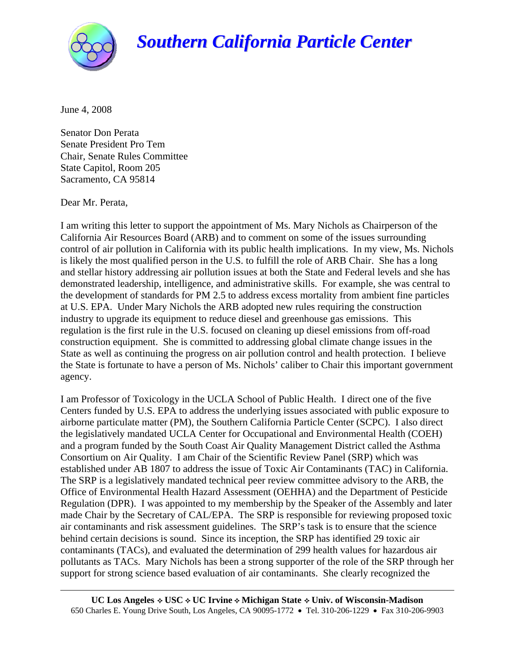

## *Southern California Particle Center*

June 4, 2008

Senator Don Perata Senate President Pro Tem Chair, Senate Rules Committee State Capitol, Room 205 Sacramento, CA 95814

Dear Mr. Perata,

I am writing this letter to support the appointment of Ms. Mary Nichols as Chairperson of the California Air Resources Board (ARB) and to comment on some of the issues surrounding control of air pollution in California with its public health implications. In my view, Ms. Nichols is likely the most qualified person in the U.S. to fulfill the role of ARB Chair. She has a long and stellar history addressing air pollution issues at both the State and Federal levels and she has demonstrated leadership, intelligence, and administrative skills. For example, she was central to the development of standards for PM 2.5 to address excess mortality from ambient fine particles at U.S. EPA. Under Mary Nichols the ARB adopted new rules requiring the construction industry to upgrade its equipment to reduce diesel and greenhouse gas emissions. This regulation is the first rule in the U.S. focused on cleaning up diesel emissions from off-road construction equipment. She is committed to addressing global climate change issues in the State as well as continuing the progress on air pollution control and health protection. I believe the State is fortunate to have a person of Ms. Nichols' caliber to Chair this important government agency.

I am Professor of Toxicology in the UCLA School of Public Health. I direct one of the five Centers funded by U.S. EPA to address the underlying issues associated with public exposure to airborne particulate matter (PM), the Southern California Particle Center (SCPC). I also direct the legislatively mandated UCLA Center for Occupational and Environmental Health (COEH) and a program funded by the South Coast Air Quality Management District called the Asthma Consortium on Air Quality. I am Chair of the Scientific Review Panel (SRP) which was established under AB 1807 to address the issue of Toxic Air Contaminants (TAC) in California. The SRP is a legislatively mandated technical peer review committee advisory to the ARB, the Office of Environmental Health Hazard Assessment (OEHHA) and the Department of Pesticide Regulation (DPR). I was appointed to my membership by the Speaker of the Assembly and later made Chair by the Secretary of CAL/EPA. The SRP is responsible for reviewing proposed toxic air contaminants and risk assessment guidelines. The SRP's task is to ensure that the science behind certain decisions is sound. Since its inception, the SRP has identified 29 toxic air contaminants (TACs), and evaluated the determination of 299 health values for hazardous air pollutants as TACs. Mary Nichols has been a strong supporter of the role of the SRP through her support for strong science based evaluation of air contaminants. She clearly recognized the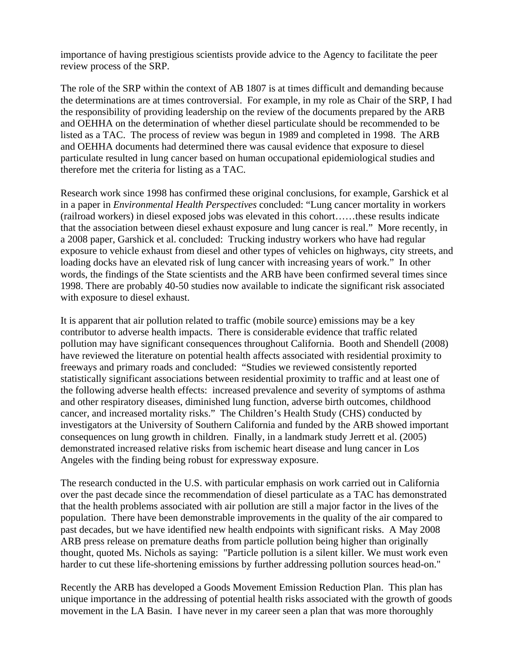importance of having prestigious scientists provide advice to the Agency to facilitate the peer review process of the SRP.

The role of the SRP within the context of AB 1807 is at times difficult and demanding because the determinations are at times controversial. For example, in my role as Chair of the SRP, I had the responsibility of providing leadership on the review of the documents prepared by the ARB and OEHHA on the determination of whether diesel particulate should be recommended to be listed as a TAC. The process of review was begun in 1989 and completed in 1998. The ARB and OEHHA documents had determined there was causal evidence that exposure to diesel particulate resulted in lung cancer based on human occupational epidemiological studies and therefore met the criteria for listing as a TAC.

Research work since 1998 has confirmed these original conclusions, for example, Garshick et al in a paper in *Environmental Health Perspectives* concluded: "Lung cancer mortality in workers (railroad workers) in diesel exposed jobs was elevated in this cohort……these results indicate that the association between diesel exhaust exposure and lung cancer is real." More recently, in a 2008 paper, Garshick et al. concluded: Trucking industry workers who have had regular exposure to vehicle exhaust from diesel and other types of vehicles on highways, city streets, and loading docks have an elevated risk of lung cancer with increasing years of work." In other words, the findings of the State scientists and the ARB have been confirmed several times since 1998. There are probably 40-50 studies now available to indicate the significant risk associated with exposure to diesel exhaust.

It is apparent that air pollution related to traffic (mobile source) emissions may be a key contributor to adverse health impacts. There is considerable evidence that traffic related pollution may have significant consequences throughout California. Booth and Shendell (2008) have reviewed the literature on potential health affects associated with residential proximity to freeways and primary roads and concluded: "Studies we reviewed consistently reported statistically significant associations between residential proximity to traffic and at least one of the following adverse health effects: increased prevalence and severity of symptoms of asthma and other respiratory diseases, diminished lung function, adverse birth outcomes, childhood cancer, and increased mortality risks." The Children's Health Study (CHS) conducted by investigators at the University of Southern California and funded by the ARB showed important consequences on lung growth in children. Finally, in a landmark study Jerrett et al. (2005) demonstrated increased relative risks from ischemic heart disease and lung cancer in Los Angeles with the finding being robust for expressway exposure.

The research conducted in the U.S. with particular emphasis on work carried out in California over the past decade since the recommendation of diesel particulate as a TAC has demonstrated that the health problems associated with air pollution are still a major factor in the lives of the population. There have been demonstrable improvements in the quality of the air compared to past decades, but we have identified new health endpoints with significant risks. A May 2008 ARB press release on premature deaths from particle pollution being higher than originally thought, quoted Ms. Nichols as saying: "Particle pollution is a silent killer. We must work even harder to cut these life-shortening emissions by further addressing pollution sources head-on."

Recently the ARB has developed a Goods Movement Emission Reduction Plan. This plan has unique importance in the addressing of potential health risks associated with the growth of goods movement in the LA Basin. I have never in my career seen a plan that was more thoroughly